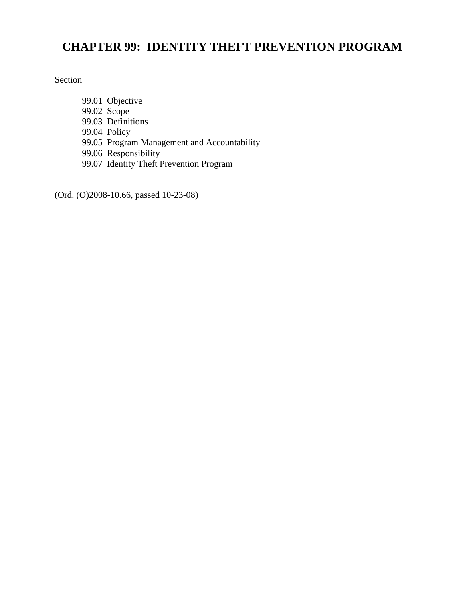# **CHAPTER 99: IDENTITY THEFT PREVENTION PROGRAM**

Section

99.01 Objective 99.02 Scope 99.03 Definitions 99.04 Policy 99.05 Program Management and Accountability 99.06 Responsibility 99.07 Identity Theft Prevention Program

(Ord. (O)2008-10.66, passed 10-23-08)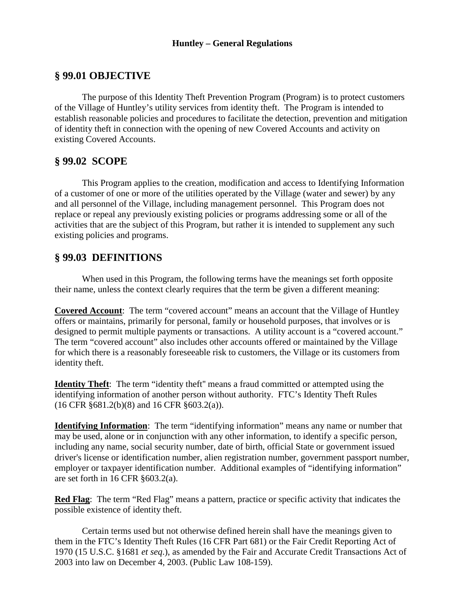## **§ 99.01 OBJECTIVE**

The purpose of this Identity Theft Prevention Program (Program) is to protect customers of the Village of Huntley's utility services from identity theft. The Program is intended to establish reasonable policies and procedures to facilitate the detection, prevention and mitigation of identity theft in connection with the opening of new Covered Accounts and activity on existing Covered Accounts.

## **§ 99.02 SCOPE**

This Program applies to the creation, modification and access to Identifying Information of a customer of one or more of the utilities operated by the Village (water and sewer) by any and all personnel of the Village, including management personnel. This Program does not replace or repeal any previously existing policies or programs addressing some or all of the activities that are the subject of this Program, but rather it is intended to supplement any such existing policies and programs.

## **§ 99.03 DEFINITIONS**

When used in this Program, the following terms have the meanings set forth opposite their name, unless the context clearly requires that the term be given a different meaning:

**Covered Account**: The term "covered account" means an account that the Village of Huntley offers or maintains, primarily for personal, family or household purposes, that involves or is designed to permit multiple payments or transactions. A utility account is a "covered account." The term "covered account" also includes other accounts offered or maintained by the Village for which there is a reasonably foreseeable risk to customers, the Village or its customers from identity theft.

**Identity Theft**: The term "identity theft'' means a fraud committed or attempted using the identifying information of another person without authority. FTC's Identity Theft Rules (16 CFR §681.2(b)(8) and 16 CFR §603.2(a)).

**Identifying Information**: The term "identifying information" means any name or number that may be used, alone or in conjunction with any other information, to identify a specific person, including any name, social security number, date of birth, official State or government issued driver's license or identification number, alien registration number, government passport number, employer or taxpayer identification number. Additional examples of "identifying information" are set forth in 16 CFR §603.2(a).

**Red Flag**: The term "Red Flag" means a pattern, practice or specific activity that indicates the possible existence of identity theft.

Certain terms used but not otherwise defined herein shall have the meanings given to them in the FTC's Identity Theft Rules (16 CFR Part 681) or the Fair Credit Reporting Act of 1970 (15 U.S.C. §1681 *et seq*.), as amended by the Fair and Accurate Credit Transactions Act of 2003 into law on December 4, 2003. (Public Law 108-159).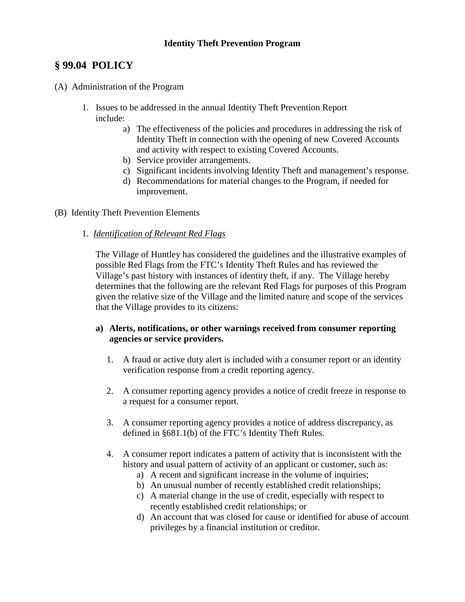## **§ 99.04 POLICY**

- (A) Administration of the Program
	- 1. Issues to be addressed in the annual Identity Theft Prevention Report include:
		- a) The effectiveness of the policies and procedures in addressing the risk of Identity Theft in connection with the opening of new Covered Accounts and activity with respect to existing Covered Accounts.
		- b) Service provider arrangements.
		- c) Significant incidents involving Identity Theft and management's response.
		- d) Recommendations for material changes to the Program, if needed for improvement.
- (B) Identity Theft Prevention Elements
	- 1. *Identification of Relevant Red Flags*

The Village of Huntley has considered the guidelines and the illustrative examples of possible Red Flags from the FTC's Identity Theft Rules and has reviewed the Village's past history with instances of identity theft, if any. The Village hereby determines that the following are the relevant Red Flags for purposes of this Program given the relative size of the Village and the limited nature and scope of the services that the Village provides to its citizens:

#### **a) Alerts, notifications, or other warnings received from consumer reporting agencies or service providers.**

- 1. A fraud or active duty alert is included with a consumer report or an identity verification response from a credit reporting agency.
- 2. A consumer reporting agency provides a notice of credit freeze in response to a request for a consumer report.
- 3. A consumer reporting agency provides a notice of address discrepancy, as defined in §681.1(b) of the FTC's Identity Theft Rules.
- 4. A consumer report indicates a pattern of activity that is inconsistent with the history and usual pattern of activity of an applicant or customer, such as:
	- a) A recent and significant increase in the volume of inquiries;
	- b) An unusual number of recently established credit relationships;
	- c) A material change in the use of credit, especially with respect to recently established credit relationships; or
	- d) An account that was closed for cause or identified for abuse of account privileges by a financial institution or creditor.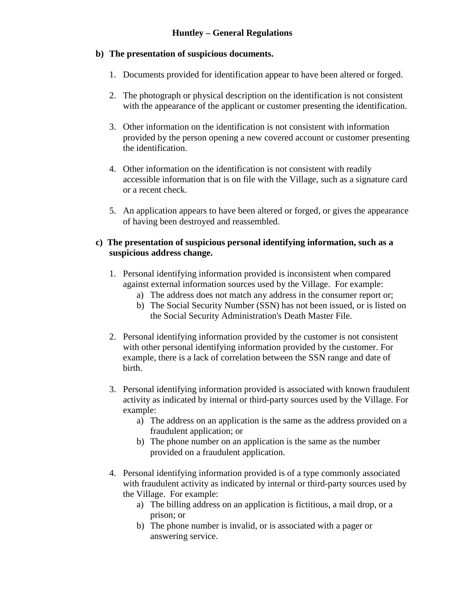## **b) The presentation of suspicious documents.**

- 1. Documents provided for identification appear to have been altered or forged.
- 2. The photograph or physical description on the identification is not consistent with the appearance of the applicant or customer presenting the identification.
- 3. Other information on the identification is not consistent with information provided by the person opening a new covered account or customer presenting the identification.
- 4. Other information on the identification is not consistent with readily accessible information that is on file with the Village, such as a signature card or a recent check.
- 5. An application appears to have been altered or forged, or gives the appearance of having been destroyed and reassembled.

#### **c) The presentation of suspicious personal identifying information, such as a suspicious address change.**

- 1. Personal identifying information provided is inconsistent when compared against external information sources used by the Village. For example:
	- a) The address does not match any address in the consumer report or;
	- b) The Social Security Number (SSN) has not been issued, or is listed on the Social Security Administration's Death Master File.
- 2. Personal identifying information provided by the customer is not consistent with other personal identifying information provided by the customer. For example, there is a lack of correlation between the SSN range and date of birth.
- 3. Personal identifying information provided is associated with known fraudulent activity as indicated by internal or third-party sources used by the Village. For example:
	- a) The address on an application is the same as the address provided on a fraudulent application; or
	- b) The phone number on an application is the same as the number provided on a fraudulent application.
- 4. Personal identifying information provided is of a type commonly associated with fraudulent activity as indicated by internal or third-party sources used by the Village. For example:
	- a) The billing address on an application is fictitious, a mail drop, or a prison; or
	- b) The phone number is invalid, or is associated with a pager or answering service.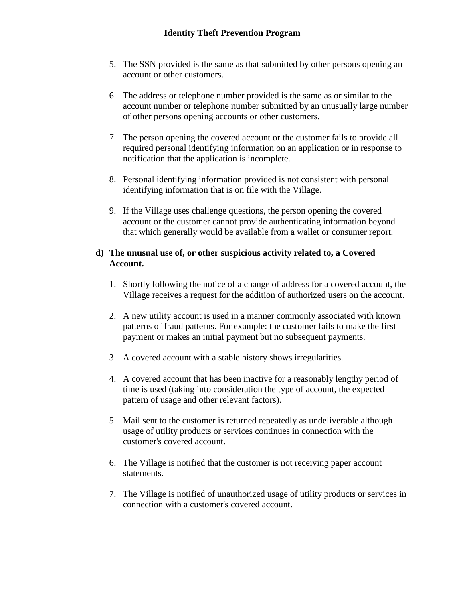- 5. The SSN provided is the same as that submitted by other persons opening an account or other customers.
- 6. The address or telephone number provided is the same as or similar to the account number or telephone number submitted by an unusually large number of other persons opening accounts or other customers.
- 7. The person opening the covered account or the customer fails to provide all required personal identifying information on an application or in response to notification that the application is incomplete.
- 8. Personal identifying information provided is not consistent with personal identifying information that is on file with the Village.
- 9. If the Village uses challenge questions, the person opening the covered account or the customer cannot provide authenticating information beyond that which generally would be available from a wallet or consumer report.

### **d) The unusual use of, or other suspicious activity related to, a Covered Account.**

- 1. Shortly following the notice of a change of address for a covered account, the Village receives a request for the addition of authorized users on the account.
- 2. A new utility account is used in a manner commonly associated with known patterns of fraud patterns. For example: the customer fails to make the first payment or makes an initial payment but no subsequent payments.
- 3. A covered account with a stable history shows irregularities.
- 4. A covered account that has been inactive for a reasonably lengthy period of time is used (taking into consideration the type of account, the expected pattern of usage and other relevant factors).
- 5. Mail sent to the customer is returned repeatedly as undeliverable although usage of utility products or services continues in connection with the customer's covered account.
- 6. The Village is notified that the customer is not receiving paper account statements.
- 7. The Village is notified of unauthorized usage of utility products or services in connection with a customer's covered account.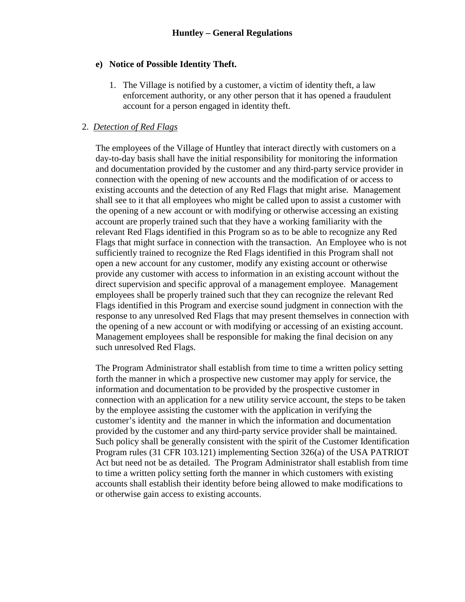#### **e) Notice of Possible Identity Theft.**

1. The Village is notified by a customer, a victim of identity theft, a law enforcement authority, or any other person that it has opened a fraudulent account for a person engaged in identity theft.

#### 2. *Detection of Red Flags*

The employees of the Village of Huntley that interact directly with customers on a day-to-day basis shall have the initial responsibility for monitoring the information and documentation provided by the customer and any third-party service provider in connection with the opening of new accounts and the modification of or access to existing accounts and the detection of any Red Flags that might arise. Management shall see to it that all employees who might be called upon to assist a customer with the opening of a new account or with modifying or otherwise accessing an existing account are properly trained such that they have a working familiarity with the relevant Red Flags identified in this Program so as to be able to recognize any Red Flags that might surface in connection with the transaction. An Employee who is not sufficiently trained to recognize the Red Flags identified in this Program shall not open a new account for any customer, modify any existing account or otherwise provide any customer with access to information in an existing account without the direct supervision and specific approval of a management employee. Management employees shall be properly trained such that they can recognize the relevant Red Flags identified in this Program and exercise sound judgment in connection with the response to any unresolved Red Flags that may present themselves in connection with the opening of a new account or with modifying or accessing of an existing account. Management employees shall be responsible for making the final decision on any such unresolved Red Flags.

The Program Administrator shall establish from time to time a written policy setting forth the manner in which a prospective new customer may apply for service, the information and documentation to be provided by the prospective customer in connection with an application for a new utility service account, the steps to be taken by the employee assisting the customer with the application in verifying the customer's identity and the manner in which the information and documentation provided by the customer and any third-party service provider shall be maintained. Such policy shall be generally consistent with the spirit of the Customer Identification Program rules (31 CFR 103.121) implementing Section 326(a) of the USA PATRIOT Act but need not be as detailed. The Program Administrator shall establish from time to time a written policy setting forth the manner in which customers with existing accounts shall establish their identity before being allowed to make modifications to or otherwise gain access to existing accounts.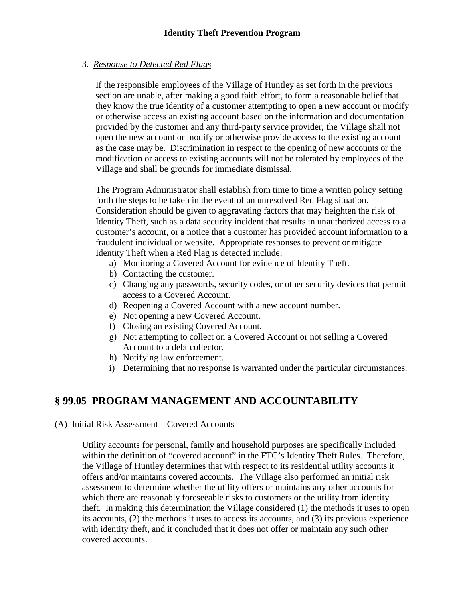## 3. *Response to Detected Red Flags*

If the responsible employees of the Village of Huntley as set forth in the previous section are unable, after making a good faith effort, to form a reasonable belief that they know the true identity of a customer attempting to open a new account or modify or otherwise access an existing account based on the information and documentation provided by the customer and any third-party service provider, the Village shall not open the new account or modify or otherwise provide access to the existing account as the case may be. Discrimination in respect to the opening of new accounts or the modification or access to existing accounts will not be tolerated by employees of the Village and shall be grounds for immediate dismissal.

The Program Administrator shall establish from time to time a written policy setting forth the steps to be taken in the event of an unresolved Red Flag situation. Consideration should be given to aggravating factors that may heighten the risk of Identity Theft, such as a data security incident that results in unauthorized access to a customer's account, or a notice that a customer has provided account information to a fraudulent individual or website. Appropriate responses to prevent or mitigate Identity Theft when a Red Flag is detected include:

- a) Monitoring a Covered Account for evidence of Identity Theft.
- b) Contacting the customer.
- c) Changing any passwords, security codes, or other security devices that permit access to a Covered Account.
- d) Reopening a Covered Account with a new account number.
- e) Not opening a new Covered Account.
- f) Closing an existing Covered Account.
- g) Not attempting to collect on a Covered Account or not selling a Covered Account to a debt collector.
- h) Notifying law enforcement.
- i) Determining that no response is warranted under the particular circumstances.

# **§ 99.05 PROGRAM MANAGEMENT AND ACCOUNTABILITY**

### (A) Initial Risk Assessment – Covered Accounts

Utility accounts for personal, family and household purposes are specifically included within the definition of "covered account" in the FTC's Identity Theft Rules. Therefore, the Village of Huntley determines that with respect to its residential utility accounts it offers and/or maintains covered accounts. The Village also performed an initial risk assessment to determine whether the utility offers or maintains any other accounts for which there are reasonably foreseeable risks to customers or the utility from identity theft. In making this determination the Village considered (1) the methods it uses to open its accounts, (2) the methods it uses to access its accounts, and (3) its previous experience with identity theft, and it concluded that it does not offer or maintain any such other covered accounts.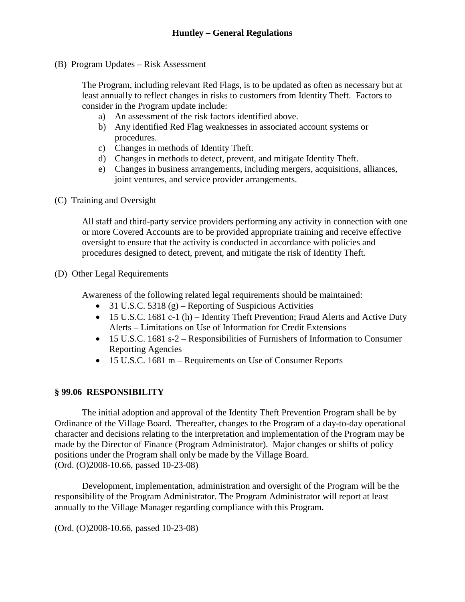(B) Program Updates – Risk Assessment

The Program, including relevant Red Flags, is to be updated as often as necessary but at least annually to reflect changes in risks to customers from Identity Theft. Factors to consider in the Program update include:

- a) An assessment of the risk factors identified above.
- b) Any identified Red Flag weaknesses in associated account systems or procedures.
- c) Changes in methods of Identity Theft.
- d) Changes in methods to detect, prevent, and mitigate Identity Theft.
- e) Changes in business arrangements, including mergers, acquisitions, alliances, joint ventures, and service provider arrangements.
- (C) Training and Oversight

All staff and third-party service providers performing any activity in connection with one or more Covered Accounts are to be provided appropriate training and receive effective oversight to ensure that the activity is conducted in accordance with policies and procedures designed to detect, prevent, and mitigate the risk of Identity Theft.

(D) Other Legal Requirements

Awareness of the following related legal requirements should be maintained:

- 31 U.S.C. 5318 (g) Reporting of Suspicious Activities
- 15 U.S.C. 1681 c-1 (h) Identity Theft Prevention; Fraud Alerts and Active Duty Alerts – Limitations on Use of Information for Credit Extensions
- 15 U.S.C. 1681 s-2 Responsibilities of Furnishers of Information to Consumer Reporting Agencies
- 15 U.S.C. 1681 m Requirements on Use of Consumer Reports

#### **§ 99.06 RESPONSIBILITY**

The initial adoption and approval of the Identity Theft Prevention Program shall be by Ordinance of the Village Board. Thereafter, changes to the Program of a day-to-day operational character and decisions relating to the interpretation and implementation of the Program may be made by the Director of Finance (Program Administrator). Major changes or shifts of policy positions under the Program shall only be made by the Village Board. (Ord. (O)2008-10.66, passed 10-23-08)

Development, implementation, administration and oversight of the Program will be the responsibility of the Program Administrator. The Program Administrator will report at least annually to the Village Manager regarding compliance with this Program.

(Ord. (O)2008-10.66, passed 10-23-08)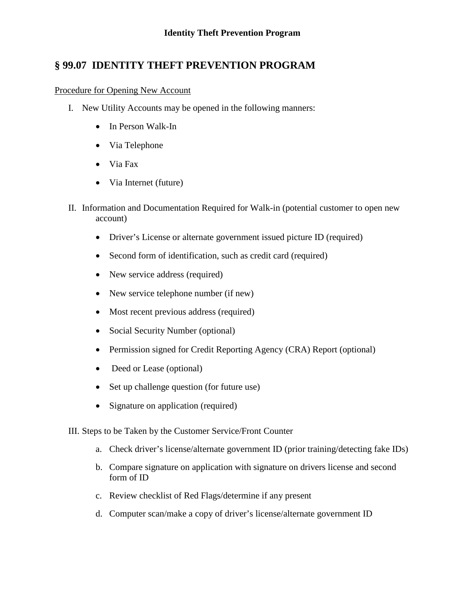## **§ 99.07 IDENTITY THEFT PREVENTION PROGRAM**

#### Procedure for Opening New Account

- I. New Utility Accounts may be opened in the following manners:
	- In Person Walk-In
	- Via Telephone
	- Via Fax
	- Via Internet (future)
- II. Information and Documentation Required for Walk-in (potential customer to open new account)
	- Driver's License or alternate government issued picture ID (required)
	- Second form of identification, such as credit card (required)
	- New service address (required)
	- New service telephone number (if new)
	- Most recent previous address (required)
	- Social Security Number (optional)
	- Permission signed for Credit Reporting Agency (CRA) Report (optional)
	- Deed or Lease (optional)
	- Set up challenge question (for future use)
	- Signature on application (required)

III. Steps to be Taken by the Customer Service/Front Counter

- a. Check driver's license/alternate government ID (prior training/detecting fake IDs)
- b. Compare signature on application with signature on drivers license and second form of ID
- c. Review checklist of Red Flags/determine if any present
- d. Computer scan/make a copy of driver's license/alternate government ID